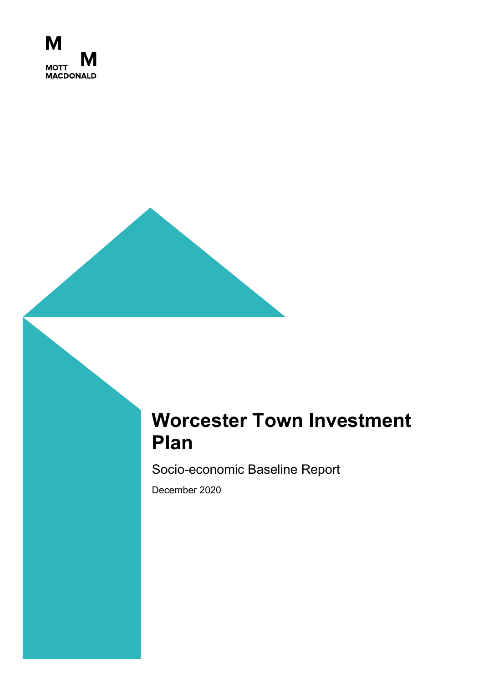

# **Worcester Town Investment Plan**

Socio-economic Baseline Report

December 2020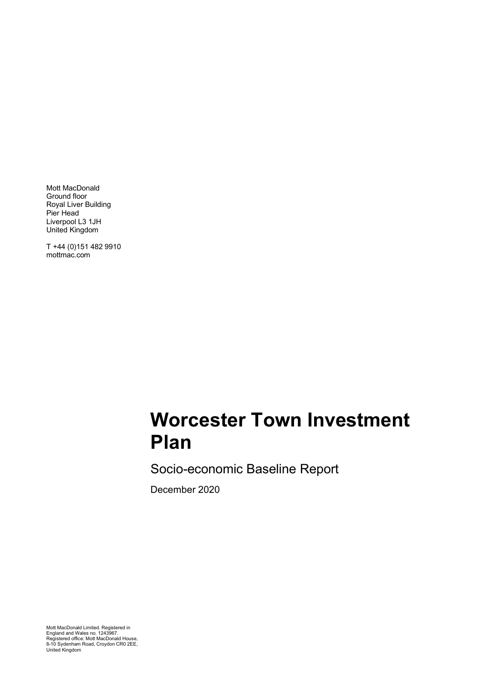Mott MacDonald Ground floor Royal Liver Building Pier Head Liverpool L3 1JH United Kingdom

T +44 (0)151 482 9910 mottmac.com

# **Worcester Town Investment Plan**

Socio-economic Baseline Report

December 2020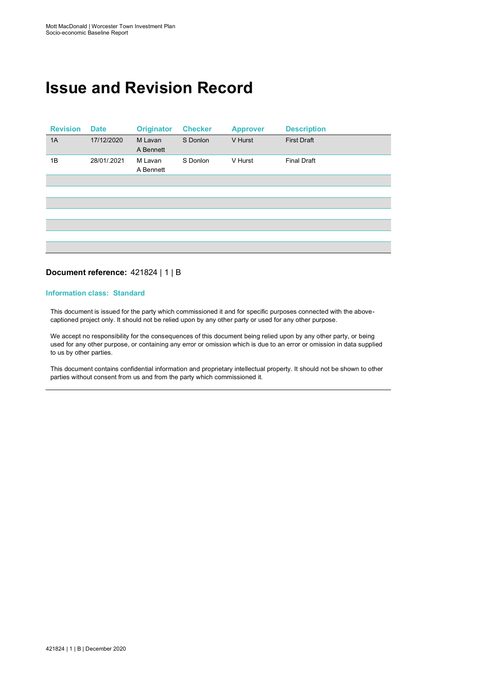# **Issue and Revision Record**

| <b>Revision</b> | <b>Date</b> | <b>Originator</b>    | <b>Checker</b> | <b>Approver</b> | <b>Description</b> |
|-----------------|-------------|----------------------|----------------|-----------------|--------------------|
| 1A              | 17/12/2020  | M Lavan<br>A Bennett | S Donlon       | V Hurst         | <b>First Draft</b> |
| 1B              | 28/01/.2021 | M Lavan<br>A Bennett | S Donlon       | V Hurst         | <b>Final Draft</b> |
|                 |             |                      |                |                 |                    |
|                 |             |                      |                |                 |                    |
|                 |             |                      |                |                 |                    |
|                 |             |                      |                |                 |                    |
|                 |             |                      |                |                 |                    |
|                 |             |                      |                |                 |                    |
|                 |             |                      |                |                 |                    |
|                 |             |                      |                |                 |                    |

#### **Document reference:** 421824 | 1 | B

#### **Information class: Standard**

This document is issued for the party which commissioned it and for specific purposes connected with the abovecaptioned project only. It should not be relied upon by any other party or used for any other purpose.

We accept no responsibility for the consequences of this document being relied upon by any other party, or being used for any other purpose, or containing any error or omission which is due to an error or omission in data supplied to us by other parties.

This document contains confidential information and proprietary intellectual property. It should not be shown to other parties without consent from us and from the party which commissioned it.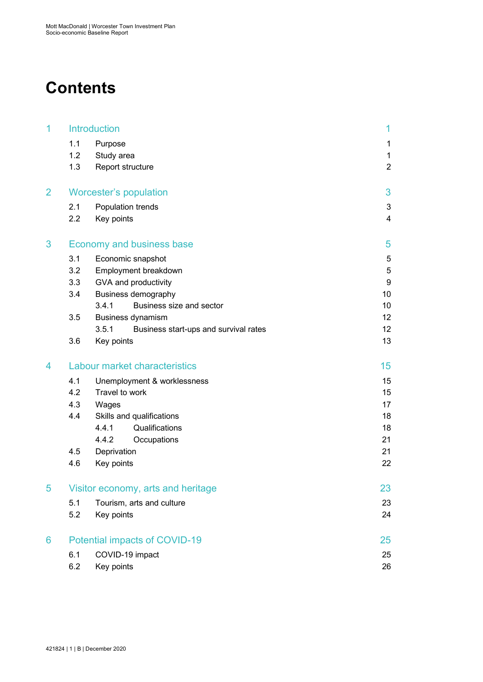# **Contents**

| 1 |     | <b>Introduction</b>                            | 1               |
|---|-----|------------------------------------------------|-----------------|
|   | 1.1 | Purpose                                        | 1               |
|   | 1.2 | Study area                                     | 1               |
|   | 1.3 | Report structure                               | $\overline{2}$  |
| 2 |     | <b>Worcester's population</b>                  | 3               |
|   | 2.1 | Population trends                              | 3               |
|   | 2.2 | Key points                                     | $\overline{4}$  |
| 3 |     | <b>Economy and business base</b>               | 5               |
|   | 3.1 | Economic snapshot                              | 5               |
|   | 3.2 | Employment breakdown                           | 5               |
|   | 3.3 | GVA and productivity                           | 9               |
|   | 3.4 | <b>Business demography</b>                     | 10              |
|   |     | Business size and sector<br>3.4.1              | 10              |
|   | 3.5 | <b>Business dynamism</b>                       | 12              |
|   |     | 3.5.1<br>Business start-ups and survival rates | 12 <sup>2</sup> |
|   | 3.6 | Key points                                     | 13              |
| 4 |     | Labour market characteristics                  | 15 <sub>1</sub> |
|   | 4.1 | Unemployment & worklessness                    | 15              |
|   | 4.2 | Travel to work                                 | 15              |
|   | 4.3 | Wages                                          | 17              |
|   | 4.4 | Skills and qualifications                      | 18              |
|   |     | Qualifications<br>4.4.1                        | 18              |
|   |     | 4.4.2<br>Occupations                           | 21              |
|   | 4.5 | Deprivation                                    | 21              |
|   | 4.6 | Key points                                     | 22              |
| 5 |     | Visitor economy, arts and heritage             | 23              |
|   | 5.1 | Tourism, arts and culture                      | 23              |
|   | 5.2 | Key points                                     | 24              |
| 6 |     | Potential impacts of COVID-19                  | 25              |
|   | 6.1 | COVID-19 impact                                | 25              |
|   | 6.2 | Key points                                     | 26              |
|   |     |                                                |                 |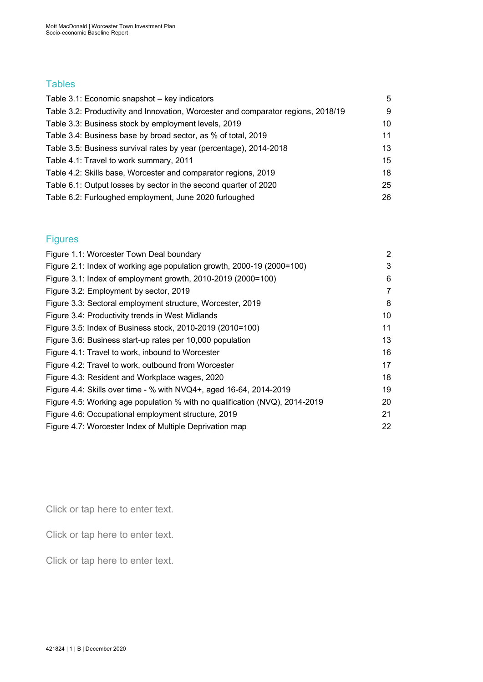## **Tables**

| Table 3.1: Economic snapshot - key indicators                                     | 5  |
|-----------------------------------------------------------------------------------|----|
| Table 3.2: Productivity and Innovation, Worcester and comparator regions, 2018/19 | 9  |
| Table 3.3: Business stock by employment levels, 2019                              | 10 |
| Table 3.4: Business base by broad sector, as % of total, 2019                     | 11 |
| Table 3.5: Business survival rates by year (percentage), 2014-2018                | 13 |
| Table 4.1: Travel to work summary, 2011                                           | 15 |
| Table 4.2: Skills base, Worcester and comparator regions, 2019                    | 18 |
| Table 6.1: Output losses by sector in the second quarter of 2020                  | 25 |
| Table 6.2: Furloughed employment, June 2020 furloughed                            | 26 |

## Figures

| Figure 1.1: Worcester Town Deal boundary                                    | 2  |
|-----------------------------------------------------------------------------|----|
| Figure 2.1: Index of working age population growth, 2000-19 (2000=100)      | 3  |
| Figure 3.1: Index of employment growth, 2010-2019 (2000=100)                | 6  |
| Figure 3.2: Employment by sector, 2019                                      | 7  |
| Figure 3.3: Sectoral employment structure, Worcester, 2019                  | 8  |
| Figure 3.4: Productivity trends in West Midlands                            | 10 |
| Figure 3.5: Index of Business stock, 2010-2019 (2010=100)                   | 11 |
| Figure 3.6: Business start-up rates per 10,000 population                   | 13 |
| Figure 4.1: Travel to work, inbound to Worcester                            | 16 |
| Figure 4.2: Travel to work, outbound from Worcester                         | 17 |
| Figure 4.3: Resident and Workplace wages, 2020                              | 18 |
| Figure 4.4: Skills over time - % with NVQ4+, aged 16-64, 2014-2019          | 19 |
| Figure 4.5: Working age population % with no qualification (NVQ), 2014-2019 | 20 |
| Figure 4.6: Occupational employment structure, 2019                         | 21 |
| Figure 4.7: Worcester Index of Multiple Deprivation map                     | 22 |

Click or tap here to enter text.

Click or tap here to enter text.

Click or tap here to enter text.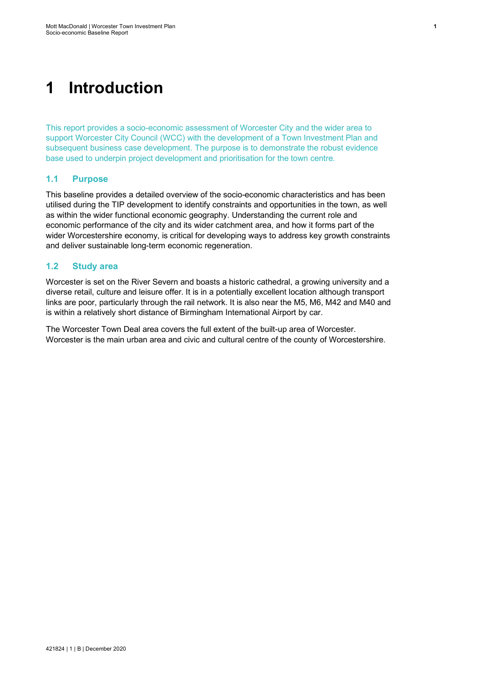# <span id="page-7-0"></span>**1 Introduction**

This report provides a socio-economic assessment of Worcester City and the wider area to support Worcester City Council (WCC) with the development of a Town Investment Plan and subsequent business case development. The purpose is to demonstrate the robust evidence base used to underpin project development and prioritisation for the town centre.

## <span id="page-7-1"></span>**1.1 Purpose**

This baseline provides a detailed overview of the socio-economic characteristics and has been utilised during the TIP development to identify constraints and opportunities in the town, as well as within the wider functional economic geography. Understanding the current role and economic performance of the city and its wider catchment area, and how it forms part of the wider Worcestershire economy, is critical for developing ways to address key growth constraints and deliver sustainable long-term economic regeneration.

## <span id="page-7-2"></span>**1.2 Study area**

Worcester is set on the River Severn and boasts a historic cathedral, a growing university and a diverse retail, culture and leisure offer. It is in a potentially excellent location although transport links are poor, particularly through the rail network. It is also near the M5, M6, M42 and M40 and is within a relatively short distance of Birmingham International Airport by car.

The Worcester Town Deal area covers the full extent of the built-up area of Worcester. Worcester is the main urban area and civic and cultural centre of the county of Worcestershire.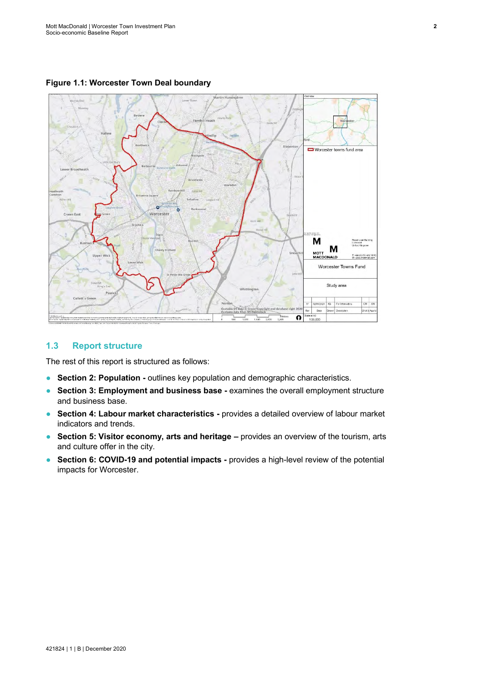<span id="page-8-1"></span>**Figure 1.1: Worcester Town Deal boundary**



## <span id="page-8-0"></span>**1.3 Report structure**

The rest of this report is structured as follows:

- **Section 2: Population -** outlines key population and demographic characteristics.
- **Section 3: Employment and business base -** examines the overall employment structure and business base.
- **Section 4: Labour market characteristics -** provides a detailed overview of labour market indicators and trends.
- **Section 5: Visitor economy, arts and heritage –** provides an overview of the tourism, arts and culture offer in the city.
- **Section 6: COVID-19 and potential impacts -** provides a high-level review of the potential impacts for Worcester.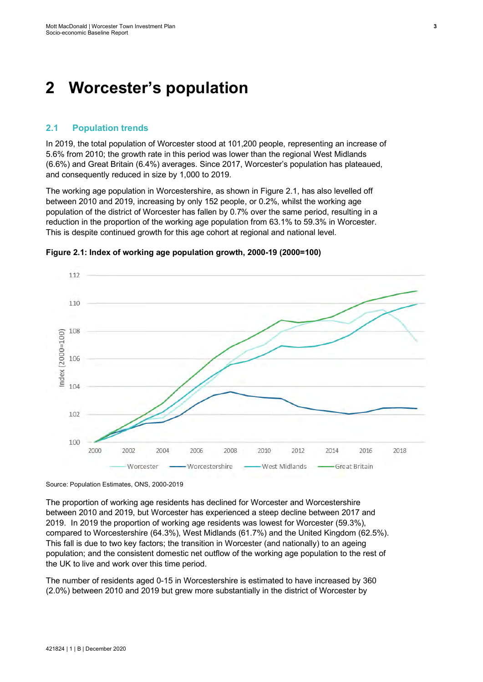## <span id="page-9-0"></span>**2 Worcester's population**

#### <span id="page-9-1"></span>**2.1 Population trends**

In 2019, the total population of Worcester stood at 101,200 people, representing an increase of 5.6% from 2010; the growth rate in this period was lower than the regional West Midlands (6.6%) and Great Britain (6.4%) averages. Since 2017, Worcester's population has plateaued, and consequently reduced in size by 1,000 to 2019.

The working age population in Worcestershire, as shown in [Figure](#page-9-2) 2.1, has also levelled off between 2010 and 2019, increasing by only 152 people, or 0.2%, whilst the working age population of the district of Worcester has fallen by 0.7% over the same period, resulting in a reduction in the proportion of the working age population from 63.1% to 59.3% in Worcester. This is despite continued growth for this age cohort at regional and national level.



<span id="page-9-2"></span>**Figure 2.1: Index of working age population growth, 2000-19 (2000=100)**

Source: Population Estimates, ONS, 2000-2019

The proportion of working age residents has declined for Worcester and Worcestershire between 2010 and 2019, but Worcester has experienced a steep decline between 2017 and 2019. In 2019 the proportion of working age residents was lowest for Worcester (59.3%), compared to Worcestershire (64.3%), West Midlands (61.7%) and the United Kingdom (62.5%). This fall is due to two key factors; the transition in Worcester (and nationally) to an ageing population; and the consistent domestic net outflow of the working age population to the rest of the UK to live and work over this time period.

The number of residents aged 0-15 in Worcestershire is estimated to have increased by 360 (2.0%) between 2010 and 2019 but grew more substantially in the district of Worcester by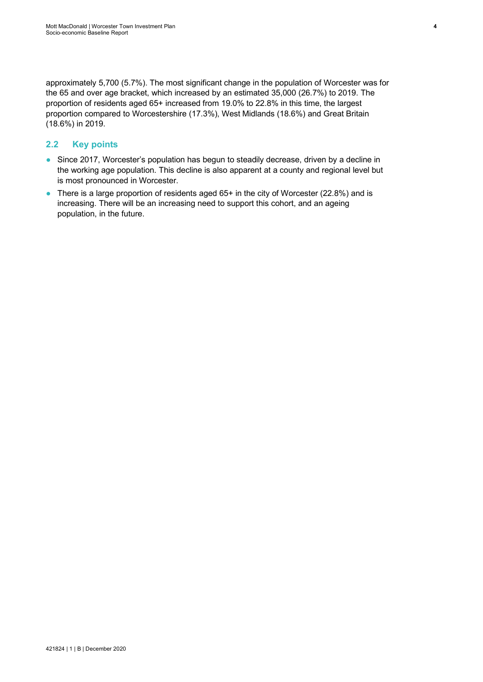approximately 5,700 (5.7%). The most significant change in the population of Worcester was for the 65 and over age bracket, which increased by an estimated 35,000 (26.7%) to 2019. The proportion of residents aged 65+ increased from 19.0% to 22.8% in this time, the largest proportion compared to Worcestershire (17.3%), West Midlands (18.6%) and Great Britain (18.6%) in 2019.

## <span id="page-10-0"></span>**2.2 Key points**

- Since 2017, Worcester's population has begun to steadily decrease, driven by a decline in the working age population. This decline is also apparent at a county and regional level but is most pronounced in Worcester.
- There is a large proportion of residents aged 65+ in the city of Worcester (22.8%) and is increasing. There will be an increasing need to support this cohort, and an ageing population, in the future.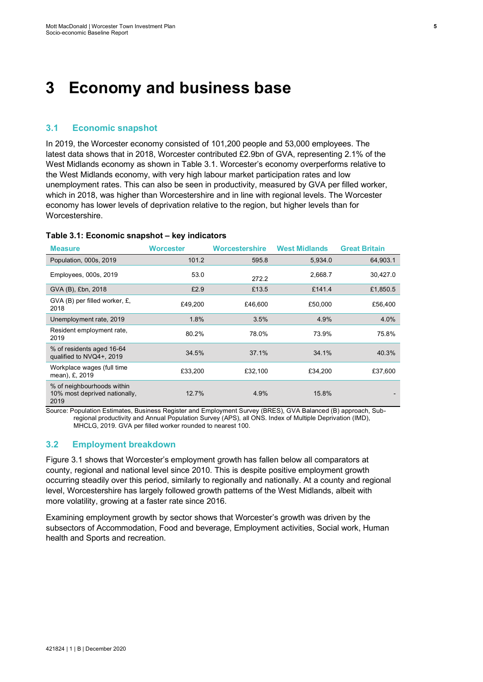# <span id="page-11-0"></span>**3 Economy and business base**

#### <span id="page-11-1"></span>**3.1 Economic snapshot**

In 2019, the Worcester economy consisted of 101,200 people and 53,000 employees. The latest data shows that in 2018, Worcester contributed £2.9bn of GVA, representing 2.1% of the West Midlands economy as shown in Table 3.1. Worcester's economy overperforms relative to the West Midlands economy, with very high labour market participation rates and low unemployment rates. This can also be seen in productivity, measured by GVA per filled worker, which in 2018, was higher than Worcestershire and in line with regional levels. The Worcester economy has lower levels of deprivation relative to the region, but higher levels than for Worcestershire.

#### <span id="page-11-3"></span>**Table 3.1: Economic snapshot – key indicators**

| <b>Measure</b>                                                      | <b>Worcester</b> | <b>Worcestershire</b> | <b>West Midlands</b> | <b>Great Britain</b> |
|---------------------------------------------------------------------|------------------|-----------------------|----------------------|----------------------|
| Population, 000s, 2019                                              | 101.2            | 595.8                 | 5.934.0              | 64,903.1             |
| Employees, 000s, 2019                                               | 53.0             | 272.2                 | 2,668.7              | 30,427.0             |
| GVA (B), £bn, 2018                                                  | £2.9             | £13.5                 | £141.4               | £1,850.5             |
| GVA (B) per filled worker, £,<br>2018                               | £49,200          | £46,600               | £50,000              | £56,400              |
| Unemployment rate, 2019                                             | 1.8%             | 3.5%                  | 4.9%                 | 4.0%                 |
| Resident employment rate,<br>2019                                   | 80.2%            | 78.0%                 | 73.9%                | 75.8%                |
| % of residents aged 16-64<br>qualified to NVQ4+, 2019               | 34.5%            | 37.1%                 | 34.1%                | 40.3%                |
| Workplace wages (full time<br>mean), £, 2019                        | £33,200          | £32,100               | £34,200              | £37,600              |
| % of neighbourhoods within<br>10% most deprived nationally,<br>2019 | 12.7%            | 4.9%                  | 15.8%                |                      |

Source: Population Estimates, Business Register and Employment Survey (BRES), GVA Balanced (B) approach, Subregional productivity and Annual Population Survey (APS), all ONS. Index of Multiple Deprivation (IMD), MHCLG, 2019. GVA per filled worker rounded to nearest 100.

#### <span id="page-11-2"></span>**3.2 Employment breakdown**

[Figure](#page-12-0) 3.1 shows that Worcester's employment growth has fallen below all comparators at county, regional and national level since 2010. This is despite positive employment growth occurring steadily over this period, similarly to regionally and nationally. At a county and regional level, Worcestershire has largely followed growth patterns of the West Midlands, albeit with more volatility, growing at a faster rate since 2016.

Examining employment growth by sector shows that Worcester's growth was driven by the subsectors of Accommodation, Food and beverage, Employment activities, Social work, Human health and Sports and recreation.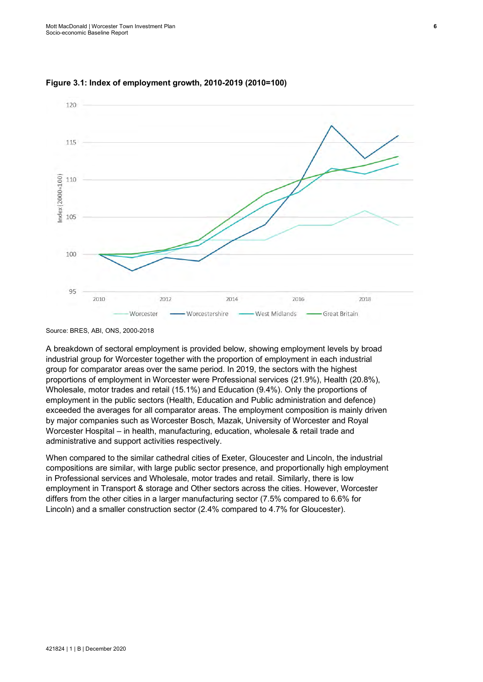

<span id="page-12-0"></span>

Source: BRES, ABI, ONS, 2000-2018

A breakdown of sectoral employment is provided below, showing employment levels by broad industrial group for Worcester together with the proportion of employment in each industrial group for comparator areas over the same period. In 2019, the sectors with the highest proportions of employment in Worcester were Professional services (21.9%), Health (20.8%), Wholesale, motor trades and retail (15.1%) and Education (9.4%). Only the proportions of employment in the public sectors (Health, Education and Public administration and defence) exceeded the averages for all comparator areas. The employment composition is mainly driven by major companies such as Worcester Bosch, Mazak, University of Worcester and Royal Worcester Hospital – in health, manufacturing, education, wholesale & retail trade and administrative and support activities respectively.

When compared to the similar cathedral cities of Exeter, Gloucester and Lincoln, the industrial compositions are similar, with large public sector presence, and proportionally high employment in Professional services and Wholesale, motor trades and retail. Similarly, there is low employment in Transport & storage and Other sectors across the cities. However, Worcester differs from the other cities in a larger manufacturing sector (7.5% compared to 6.6% for Lincoln) and a smaller construction sector (2.4% compared to 4.7% for Gloucester).

421824 | 1 | B | December 2020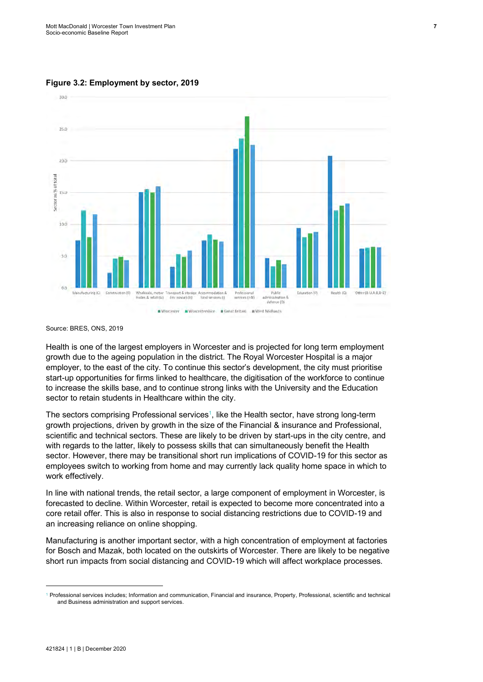<span id="page-13-0"></span>**Figure 3.2: Employment by sector, 2019** 



Source: BRES, ONS, 2019

Health is one of the largest employers in Worcester and is projected for long term employment growth due to the ageing population in the district. The Royal Worcester Hospital is a major employer, to the east of the city. To continue this sector's development, the city must prioritise start-up opportunities for firms linked to healthcare, the digitisation of the workforce to continue to increase the skills base, and to continue strong links with the University and the Education sector to retain students in Healthcare within the city.

The sectors comprising Professional services<sup>1</sup>, like the Health sector, have strong long-term growth projections, driven by growth in the size of the Financial & insurance and Professional, scientific and technical sectors. These are likely to be driven by start-ups in the city centre, and with regards to the latter, likely to possess skills that can simultaneously benefit the Health sector. However, there may be transitional short run implications of COVID-19 for this sector as employees switch to working from home and may currently lack quality home space in which to work effectively.

In line with national trends, the retail sector, a large component of employment in Worcester, is forecasted to decline. Within Worcester, retail is expected to become more concentrated into a core retail offer. This is also in response to social distancing restrictions due to COVID-19 and an increasing reliance on online shopping.

Manufacturing is another important sector, with a high concentration of employment at factories for Bosch and Mazak, both located on the outskirts of Worcester. There are likely to be negative short run impacts from social distancing and COVID-19 which will affect workplace processes.

<sup>1</sup> Professional services includes; Information and communication, Financial and insurance, Property, Professional, scientific and technical and Business administration and support services.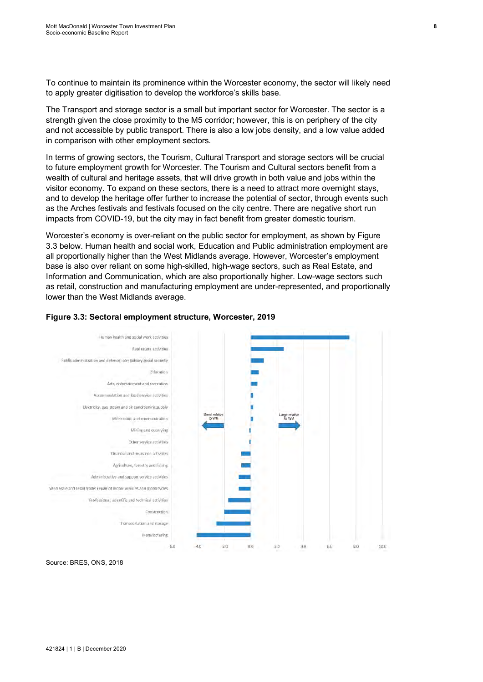To continue to maintain its prominence within the Worcester economy, the sector will likely need to apply greater digitisation to develop the workforce's skills base.

The Transport and storage sector is a small but important sector for Worcester. The sector is a strength given the close proximity to the M5 corridor; however, this is on periphery of the city and not accessible by public transport. There is also a low jobs density, and a low value added in comparison with other employment sectors.

In terms of growing sectors, the Tourism, Cultural Transport and storage sectors will be crucial to future employment growth for Worcester. The Tourism and Cultural sectors benefit from a wealth of cultural and heritage assets, that will drive growth in both value and jobs within the visitor economy. To expand on these sectors, there is a need to attract more overnight stays, and to develop the heritage offer further to increase the potential of sector, through events such as the Arches festivals and festivals focused on the city centre. There are negative short run impacts from COVID-19, but the city may in fact benefit from greater domestic tourism.

Worcester's economy is over-reliant on the public sector for employment, as shown b[y Figure](#page-14-0) [3.3](#page-14-0) below. Human health and social work, Education and Public administration employment are all proportionally higher than the West Midlands average. However, Worcester's employment base is also over reliant on some high-skilled, high-wage sectors, such as Real Estate, and Information and Communication, which are also proportionally higher. Low-wage sectors such as retail, construction and manufacturing employment are under-represented, and proportionally lower than the West Midlands average.



#### <span id="page-14-0"></span>**Figure 3.3: Sectoral employment structure, Worcester, 2019**

Source: BRES, ONS, 2018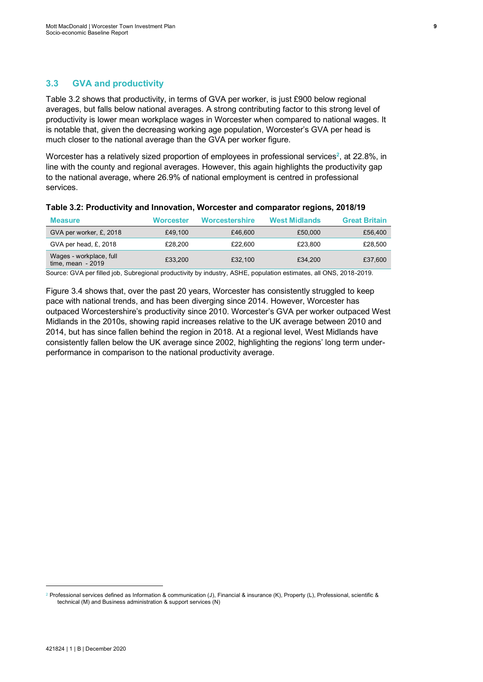## <span id="page-15-0"></span>**3.3 GVA and productivity**

[Table](#page-15-1) 3.2 shows that productivity, in terms of GVA per worker, is just £900 below regional averages, but falls below national averages. A strong contributing factor to this strong level of productivity is lower mean workplace wages in Worcester when compared to national wages. It is notable that, given the decreasing working age population, Worcester's GVA per head is much closer to the national average than the GVA per worker figure.

Worcester has a relatively sized proportion of employees in professional services<sup>2</sup>, at 22.8%, in line with the county and regional averages. However, this again highlights the productivity gap to the national average, where 26.9% of national employment is centred in professional services.

| <b>Measure</b>                                | <b>Worcester</b> | Worcestershire | <b>West Midlands</b> | <b>Great Britain</b> |
|-----------------------------------------------|------------------|----------------|----------------------|----------------------|
| GVA per worker, £, 2018                       | £49.100          | £46,600        | £50,000              | £56,400              |
| GVA per head, £, 2018                         | £28.200          | £22.600        | £23.800              | £28,500              |
| Wages - workplace, full<br>time, mean $-2019$ | £33.200          | £32.100        | £34.200              | £37,600              |

#### <span id="page-15-1"></span>**Table 3.2: Productivity and Innovation, Worcester and comparator regions, 2018/19**

Source: GVA per filled job, Subregional productivity by industry, ASHE, population estimates, all ONS, 2018-2019.

[Figure](#page-16-3) 3.4 shows that, over the past 20 years, Worcester has consistently struggled to keep pace with national trends, and has been diverging since 2014. However, Worcester has outpaced Worcestershire's productivity since 2010. Worcester's GVA per worker outpaced West Midlands in the 2010s, showing rapid increases relative to the UK average between 2010 and 2014, but has since fallen behind the region in 2018. At a regional level, West Midlands have consistently fallen below the UK average since 2002, highlighting the regions' long term underperformance in comparison to the national productivity average.

<sup>&</sup>lt;sup>2</sup> Professional services defined as Information & communication (J), Financial & insurance (K), Property (L), Professional, scientific & technical (M) and Business administration & support services (N)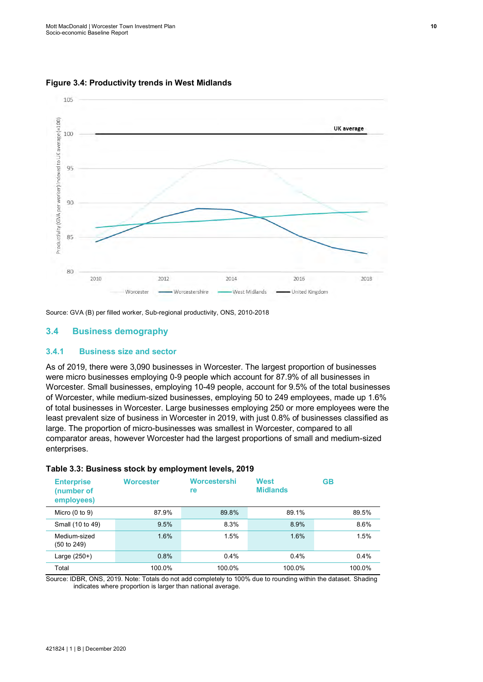

<span id="page-16-3"></span>**Figure 3.4: Productivity trends in West Midlands**

Source: GVA (B) per filled worker, Sub-regional productivity, ONS, 2010-2018

#### <span id="page-16-0"></span>**3.4 Business demography**

#### <span id="page-16-1"></span>**3.4.1 Business size and sector**

As of 2019, there were 3,090 businesses in Worcester. The largest proportion of businesses were micro businesses employing 0-9 people which account for 87.9% of all businesses in Worcester. Small businesses, employing 10-49 people, account for 9.5% of the total businesses of Worcester, while medium-sized businesses, employing 50 to 249 employees, made up 1.6% of total businesses in Worcester. Large businesses employing 250 or more employees were the least prevalent size of business in Worcester in 2019, with just 0.8% of businesses classified as large. The proportion of micro-businesses was smallest in Worcester, compared to all comparator areas, however Worcester had the largest proportions of small and medium-sized enterprises.

| <b>Enterprise</b><br>(number of<br>employees) | <b>Worcester</b> | Worcestershi<br>re | <b>West</b><br><b>Midlands</b> | GB      |
|-----------------------------------------------|------------------|--------------------|--------------------------------|---------|
| Micro $(0 to 9)$                              | 87.9%            | 89.8%              | 89.1%                          | 89.5%   |
| Small (10 to 49)                              | 9.5%             | 8.3%               | 8.9%                           | 8.6%    |
| Medium-sized<br>(50 to 249)                   | 1.6%             | 1.5%               | 1.6%                           | 1.5%    |
| Large (250+)                                  | 0.8%             | $0.4\%$            | 0.4%                           | $0.4\%$ |
| Total                                         | 100.0%           | 100.0%             | 100.0%                         | 100.0%  |

#### <span id="page-16-2"></span>**Table 3.3: Business stock by employment levels, 2019**

Source: IDBR, ONS, 2019. Note: Totals do not add completely to 100% due to rounding within the dataset. Shading indicates where proportion is larger than national average.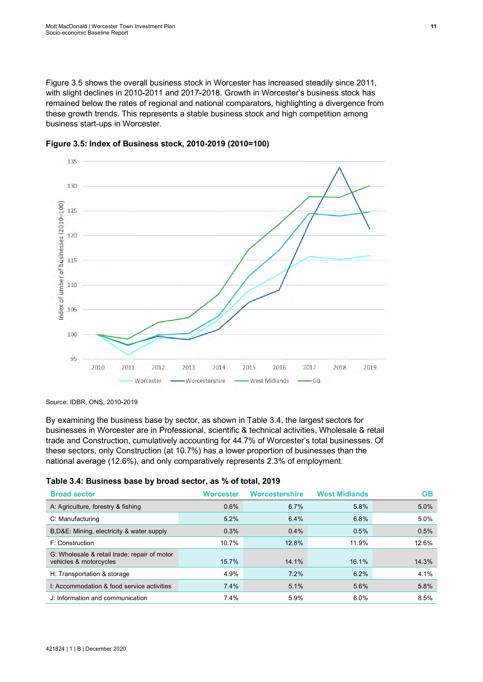[Figure](#page-17-1) 3.5 shows the overall business stock in Worcester has increased steadily since 2011, with slight declines in 2010-2011 and 2017-2018. Growth in Worcester's business stock has remained below the rates of regional and national comparators, highlighting a divergence from these growth trends. This represents a stable business stock and high competition among business start-ups in Worcester.



<span id="page-17-1"></span>

Source: IDBR, ONS, 2010-2019

By examining the business base by sector, as shown i[n Table](#page-17-0) 3.4, the largest sectors for businesses in Worcester are in Professional, scientific & technical activities, Wholesale & retail trade and Construction, cumulatively accounting for 44.7% of Worcester's total businesses. Of these sectors, only Construction (at 10.7%) has a lower proportion of businesses than the national average (12.6%), and only comparatively represents 2.3% of employment.

#### <span id="page-17-0"></span>**Table 3.4: Business base by broad sector, as % of total, 2019**

| <b>Broad sector</b>                                                    | Worcester | <b>Worcestershire</b> | <b>West Midlands</b> | GВ    |
|------------------------------------------------------------------------|-----------|-----------------------|----------------------|-------|
| A: Agriculture, forestry & fishing                                     | 0.6%      | $6.7\%$               | 5.8%                 | 5.0%  |
| C: Manufacturing                                                       | 5.2%      | 6.4%                  | 6.8%                 | 5.0%  |
| B, D&E: Mining, electricity & water supply                             | 0.3%      | $0.4\%$               | 0.5%                 | 0.5%  |
| F: Construction                                                        | 10.7%     | 12.8%                 | 11.9%                | 12.6% |
| G: Wholesale & retail trade; repair of motor<br>vehicles & motorcycles | 15.7%     | 14.1%                 | 16.1%                | 14.3% |
| H: Transportation & storage                                            | 4.9%      | 7.2%                  | 6.2%                 | 4.1%  |
| 1: Accommodation & food service activities                             | 7.4%      | 5.1%                  | 5.6%                 | 5.8%  |
| J: Information and communication                                       | 7.4%      | 5.9%                  | $6.0\%$              | 8.5%  |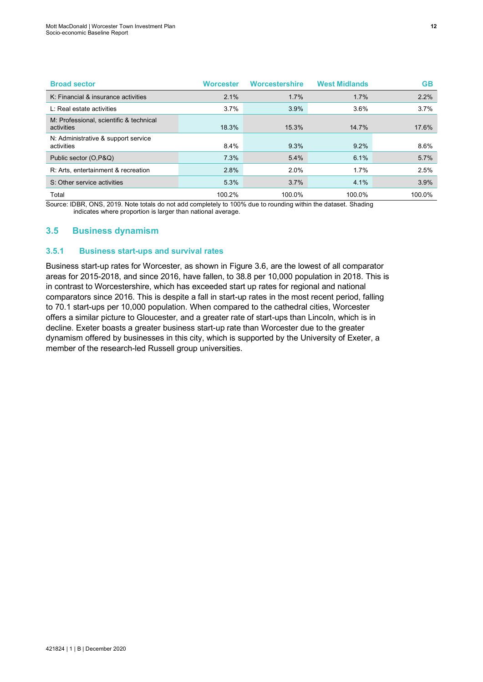| <b>Broad sector</b>                                   | <b>Worcester</b> | <b>Worcestershire</b> | <b>West Midlands</b> | <b>GB</b> |
|-------------------------------------------------------|------------------|-----------------------|----------------------|-----------|
| K: Financial & insurance activities                   | 2.1%             | $1.7\%$               | 1.7%                 | 2.2%      |
| L: Real estate activities                             | 3.7%             | 3.9%                  | $3.6\%$              | 3.7%      |
| M: Professional, scientific & technical<br>activities | 18.3%            | 15.3%                 | 14.7%                | 17.6%     |
| N: Administrative & support service<br>activities     | $8.4\%$          | 9.3%                  | $9.2\%$              | 8.6%      |
| Public sector (O, P&Q)                                | 7.3%             | 5.4%                  | 6.1%                 | 5.7%      |
| R: Arts, entertainment & recreation                   | 2.8%             | $2.0\%$               | 1.7%                 | 2.5%      |
| S: Other service activities                           | 5.3%             | 3.7%                  | 4.1%                 | 3.9%      |
| Total                                                 | 100.2%           | 100.0%                | 100.0%               | 100.0%    |

Source: IDBR, ONS, 2019. Note totals do not add completely to 100% due to rounding within the dataset. Shading indicates where proportion is larger than national average.

## <span id="page-18-0"></span>**3.5 Business dynamism**

#### <span id="page-18-1"></span>**3.5.1 Business start-ups and survival rates**

Business start-up rates for Worcester, as shown in [Figure](#page-19-2) 3.6, are the lowest of all comparator areas for 2015-2018, and since 2016, have fallen, to 38.8 per 10,000 population in 2018. This is in contrast to Worcestershire, which has exceeded start up rates for regional and national comparators since 2016. This is despite a fall in start-up rates in the most recent period, falling to 70.1 start-ups per 10,000 population. When compared to the cathedral cities, Worcester offers a similar picture to Gloucester, and a greater rate of start-ups than Lincoln, which is in decline. Exeter boasts a greater business start-up rate than Worcester due to the greater dynamism offered by businesses in this city, which is supported by the University of Exeter, a member of the research-led Russell group universities.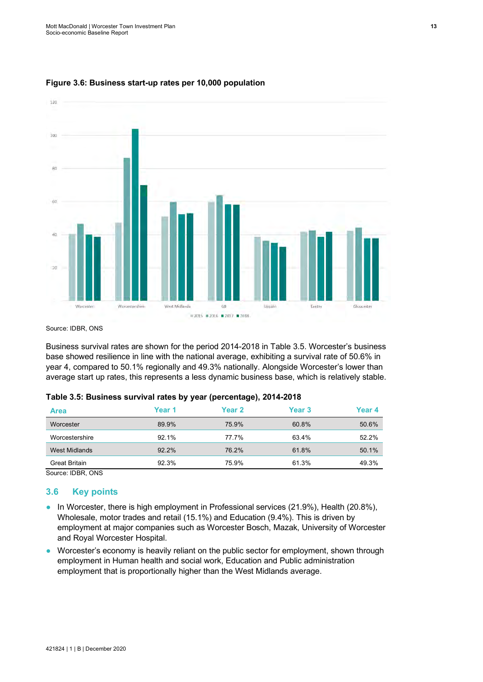

#### <span id="page-19-2"></span>**Figure 3.6: Business start-up rates per 10,000 population**

Source: **IDBR**, ONS

Business survival rates are shown for the period 2014-2018 in [Table](#page-19-1) 3.5. Worcester's business base showed resilience in line with the national average, exhibiting a survival rate of 50.6% in year 4, compared to 50.1% regionally and 49.3% nationally. Alongside Worcester's lower than average start up rates, this represents a less dynamic business base, which is relatively stable.

| <b>Area</b>          | Year 1 | <b>Year 2</b> | Year 3 | Year 4 |
|----------------------|--------|---------------|--------|--------|
| Worcester            | 89.9%  | 75.9%         | 60.8%  | 50.6%  |
| Worcestershire       | 92.1%  | 77.7%         | 63.4%  | 52.2%  |
| <b>West Midlands</b> | 92.2%  | 76.2%         | 61.8%  | 50.1%  |
| Great Britain        | 92.3%  | 75.9%         | 61.3%  | 49.3%  |

#### <span id="page-19-1"></span>**Table 3.5: Business survival rates by year (percentage), 2014-2018**

Source: IDBR, ONS

#### <span id="page-19-0"></span>**3.6 Key points**

- In Worcester, there is high employment in Professional services (21.9%), Health (20.8%), Wholesale, motor trades and retail (15.1%) and Education (9.4%). This is driven by employment at major companies such as Worcester Bosch, Mazak, University of Worcester and Royal Worcester Hospital.
- Worcester's economy is heavily reliant on the public sector for employment, shown through employment in Human health and social work, Education and Public administration employment that is proportionally higher than the West Midlands average.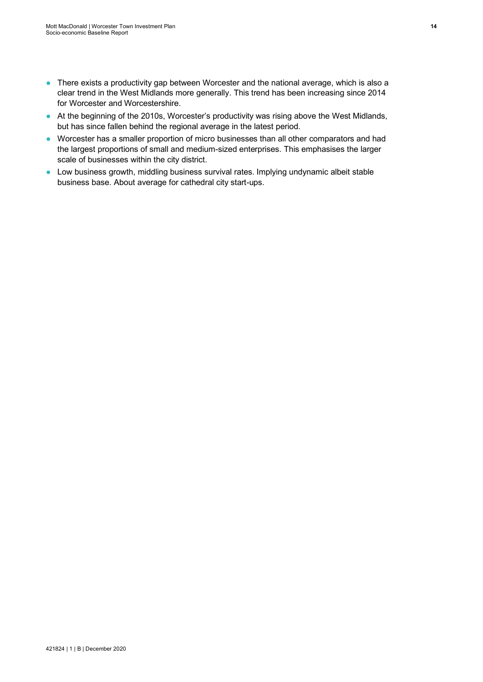- There exists a productivity gap between Worcester and the national average, which is also a clear trend in the West Midlands more generally. This trend has been increasing since 2014 for Worcester and Worcestershire.
- At the beginning of the 2010s, Worcester's productivity was rising above the West Midlands, but has since fallen behind the regional average in the latest period.
- Worcester has a smaller proportion of micro businesses than all other comparators and had the largest proportions of small and medium-sized enterprises. This emphasises the larger scale of businesses within the city district.
- Low business growth, middling business survival rates. Implying undynamic albeit stable business base. About average for cathedral city start-ups.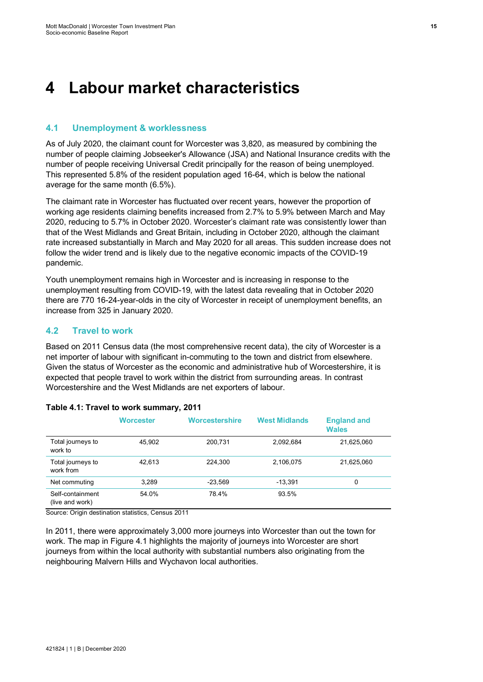# <span id="page-21-0"></span>**4 Labour market characteristics**

### <span id="page-21-1"></span>**4.1 Unemployment & worklessness**

As of July 2020, the claimant count for Worcester was 3,820, as measured by combining the number of people claiming Jobseeker's Allowance (JSA) and National Insurance credits with the number of people receiving Universal Credit principally for the reason of being unemployed. This represented 5.8% of the resident population aged 16-64, which is below the national average for the same month (6.5%).

The claimant rate in Worcester has fluctuated over recent years, however the proportion of working age residents claiming benefits increased from 2.7% to 5.9% between March and May 2020, reducing to 5.7% in October 2020. Worcester's claimant rate was consistently lower than that of the West Midlands and Great Britain, including in October 2020, although the claimant rate increased substantially in March and May 2020 for all areas. This sudden increase does not follow the wider trend and is likely due to the negative economic impacts of the COVID-19 pandemic.

Youth unemployment remains high in Worcester and is increasing in response to the unemployment resulting from COVID-19, with the latest data revealing that in October 2020 there are 770 16-24-year-olds in the city of Worcester in receipt of unemployment benefits, an increase from 325 in January 2020.

## <span id="page-21-2"></span>**4.2 Travel to work**

Based on 2011 Census data (the most comprehensive recent data), the city of Worcester is a net importer of labour with significant in-commuting to the town and district from elsewhere. Given the status of Worcester as the economic and administrative hub of Worcestershire, it is expected that people travel to work within the district from surrounding areas. In contrast Worcestershire and the West Midlands are net exporters of labour.

|                                     | Worcester | <b>Worcestershire</b> | <b>West Midlands</b> | <b>England and</b><br><b>Wales</b> |
|-------------------------------------|-----------|-----------------------|----------------------|------------------------------------|
| Total journeys to<br>work to        | 45,902    | 200.731               | 2,092,684            | 21,625,060                         |
| Total journeys to<br>work from      | 42.613    | 224.300               | 2,106,075            | 21,625,060                         |
| Net commuting                       | 3.289     | $-23,569$             | $-13.391$            | 0                                  |
| Self-containment<br>(live and work) | 54.0%     | 78.4%                 | 93.5%                |                                    |

#### <span id="page-21-3"></span>**Table 4.1: Travel to work summary, 2011**

Source: Origin destination statistics, Census 2011

In 2011, there were approximately 3,000 more journeys into Worcester than out the town for work. The map in [Figure](#page-22-0) 4.1 highlights the majority of journeys into Worcester are short journeys from within the local authority with substantial numbers also originating from the neighbouring Malvern Hills and Wychavon local authorities.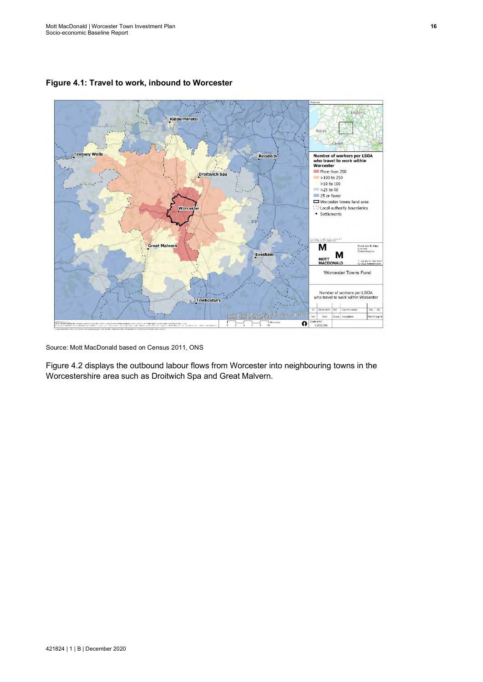

<span id="page-22-0"></span>**Figure 4.1: Travel to work, inbound to Worcester**

Source: Mott MacDonald based on Census 2011, ONS

[Figure](#page-23-1) 4.2 displays the outbound labour flows from Worcester into neighbouring towns in the Worcestershire area such as Droitwich Spa and Great Malvern.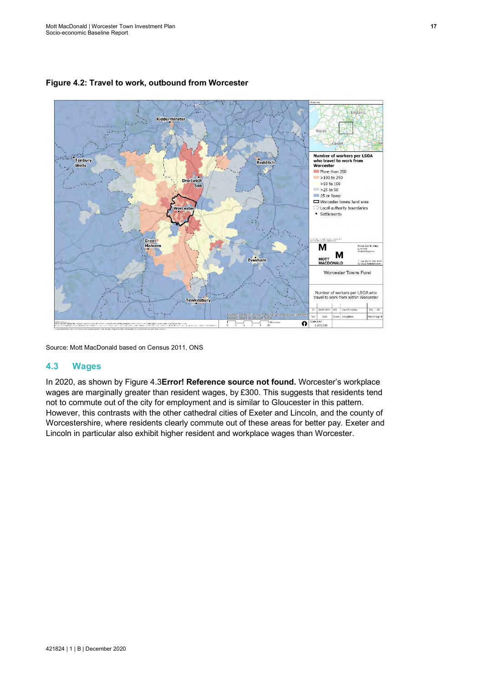

## <span id="page-23-1"></span>**Figure 4.2: Travel to work, outbound from Worcester**

Source: Mott MacDonald based on Census 2011, ONS

#### <span id="page-23-0"></span>**4.3 Wages**

In 2020, as shown by [Figure](#page-24-4) 4.3**Error! Reference source not found.** Worcester's workplace wages are marginally greater than resident wages, by £300. This suggests that residents tend not to commute out of the city for employment and is similar to Gloucester in this pattern. However, this contrasts with the other cathedral cities of Exeter and Lincoln, and the county of Worcestershire, where residents clearly commute out of these areas for better pay. Exeter and Lincoln in particular also exhibit higher resident and workplace wages than Worcester.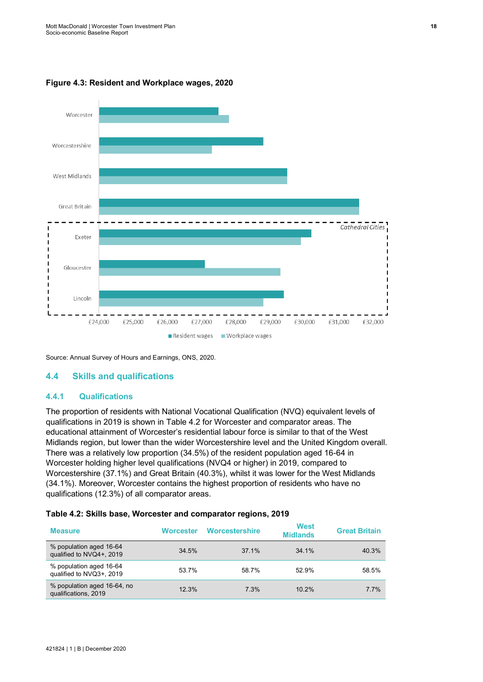

#### <span id="page-24-4"></span><span id="page-24-3"></span>**Figure 4.3: Resident and Workplace wages, 2020**

Source: Annual Survey of Hours and Earnings, ONS, 2020.

#### <span id="page-24-0"></span>**4.4 Skills and qualifications**

#### <span id="page-24-1"></span>**4.4.1 Qualifications**

The proportion of residents with National Vocational Qualification (NVQ) equivalent levels of qualifications in 2019 is shown in [Table](#page-24-2) 4.2 for Worcester and comparator areas. The educational attainment of Worcester's residential labour force is similar to that of the West Midlands region, but lower than the wider Worcestershire level and the United Kingdom overall. There was a relatively low proportion (34.5%) of the resident population aged 16-64 in Worcester holding higher level qualifications (NVQ4 or higher) in 2019, compared to Worcestershire (37.1%) and Great Britain (40.3%), whilst it was lower for the West Midlands (34.1%). Moreover, Worcester contains the highest proportion of residents who have no qualifications (12.3%) of all comparator areas.

#### <span id="page-24-2"></span>**Table 4.2: Skills base, Worcester and comparator regions, 2019**

| <b>Measure</b>                                      | <b>Worcester</b> | Worcestershire | West<br><b>Midlands</b> | <b>Great Britain</b> |
|-----------------------------------------------------|------------------|----------------|-------------------------|----------------------|
| % population aged 16-64<br>qualified to NVQ4+, 2019 | 34.5%            | 37 1%          | $34.1\%$                | 40.3%                |
| % population aged 16-64<br>qualified to NVQ3+, 2019 | 53.7%            | 58.7%          | 52.9%                   | 58.5%                |
| % population aged 16-64, no<br>qualifications, 2019 | $12.3\%$         | 7 3%           | $10.2\%$                | $7.7\%$              |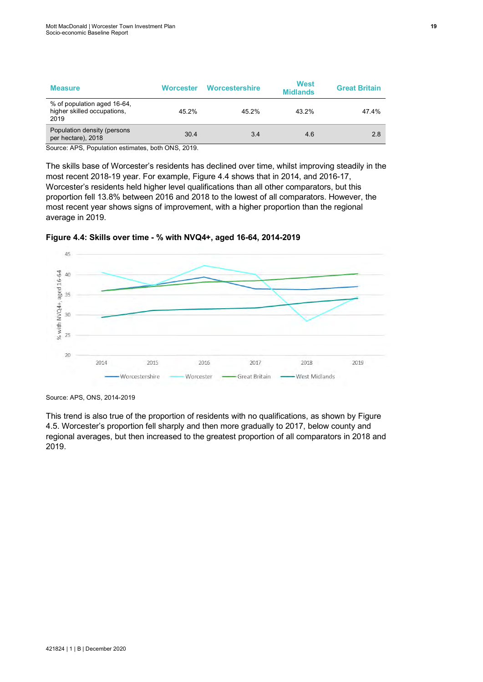| <b>Measure</b>                                                     | <b>Worcester</b> | <b>Worcestershire</b> | <b>West</b><br><b>Midlands</b> | <b>Great Britain</b> |
|--------------------------------------------------------------------|------------------|-----------------------|--------------------------------|----------------------|
| % of population aged 16-64,<br>higher skilled occupations,<br>2019 | 45.2%            | 45 2%                 | 43.2%                          | 47.4%                |
| Population density (persons<br>per hectare), 2018                  | 30.4             | 3.4                   | 4.6                            | 2.8                  |

Source: APS, Population estimates, both ONS, 2019.

The skills base of Worcester's residents has declined over time, whilst improving steadily in the most recent 2018-19 year. For example, [Figure](#page-25-0) 4.4 shows that in 2014, and 2016-17, Worcester's residents held higher level qualifications than all other comparators, but this proportion fell 13.8% between 2016 and 2018 to the lowest of all comparators. However, the most recent year shows signs of improvement, with a higher proportion than the regional average in 2019.



<span id="page-25-0"></span>**Figure 4.4: Skills over time - % with NVQ4+, aged 16-64, 2014-2019**

Source: APS, ONS, 2014-2019

This trend is also true of the proportion of residents with no qualifications, as shown by [Figure](#page-26-0) [4.5.](#page-26-0) Worcester's proportion fell sharply and then more gradually to 2017, below county and regional averages, but then increased to the greatest proportion of all comparators in 2018 and 2019.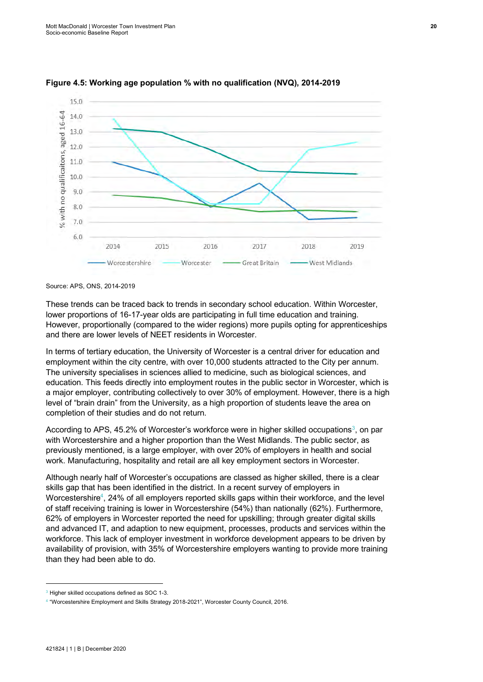

<span id="page-26-0"></span>**Figure 4.5: Working age population % with no qualification (NVQ), 2014-2019** 

Source: APS, ONS, 2014-2019

These trends can be traced back to trends in secondary school education. Within Worcester, lower proportions of 16-17-year olds are participating in full time education and training. However, proportionally (compared to the wider regions) more pupils opting for apprenticeships and there are lower levels of NEET residents in Worcester.

In terms of tertiary education, the University of Worcester is a central driver for education and employment within the city centre, with over 10,000 students attracted to the City per annum. The university specialises in sciences allied to medicine, such as biological sciences, and education. This feeds directly into employment routes in the public sector in Worcester, which is a major employer, contributing collectively to over 30% of employment. However, there is a high level of "brain drain" from the University, as a high proportion of students leave the area on completion of their studies and do not return.

According to APS, 45.2% of Worcester's workforce were in higher skilled occupations $^3$ , on par with Worcestershire and a higher proportion than the West Midlands. The public sector, as previously mentioned, is a large employer, with over 20% of employers in health and social work. Manufacturing, hospitality and retail are all key employment sectors in Worcester.

Although nearly half of Worcester's occupations are classed as higher skilled, there is a clear skills gap that has been identified in the district. In a recent survey of employers in Worcestershire $^4$ , 24% of all employers reported skills gaps within their workforce, and the level of staff receiving training is lower in Worcestershire (54%) than nationally (62%). Furthermore, 62% of employers in Worcester reported the need for upskilling; through greater digital skills and advanced IT, and adaption to new equipment, processes, products and services within the workforce. This lack of employer investment in workforce development appears to be driven by availability of provision, with 35% of Worcestershire employers wanting to provide more training than they had been able to do.

<sup>&</sup>lt;sup>3</sup> Higher skilled occupations defined as SOC 1-3.

<sup>4</sup> "Worcestershire Employment and Skills Strategy 2018-2021", Worcester County Council, 2016.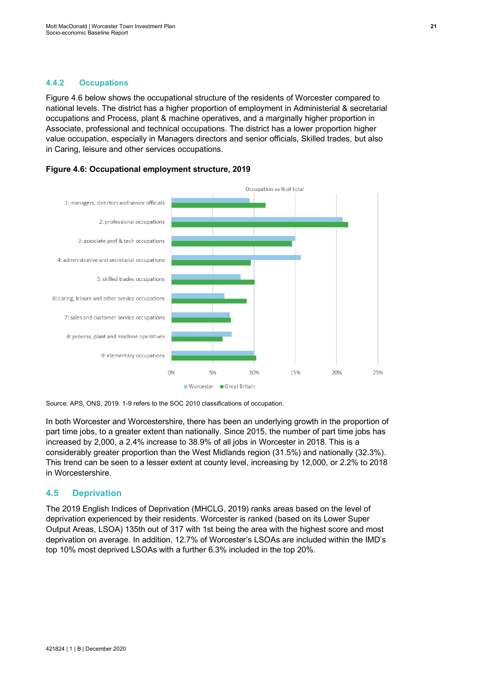#### <span id="page-27-0"></span>**4.4.2 Occupations**

[Figure](#page-27-2) 4.6 below shows the occupational structure of the residents of Worcester compared to national levels. The district has a higher proportion of employment in Administerial & secretarial occupations and Process, plant & machine operatives, and a marginally higher proportion in Associate, professional and technical occupations. The district has a lower proportion higher value occupation, especially in Managers directors and senior officials, Skilled trades, but also in Caring, leisure and other services occupations.



<span id="page-27-2"></span>

Source: APS, ONS, 2019. 1-9 refers to the SOC 2010 classifications of occupation.

In both Worcester and Worcestershire, there has been an underlying growth in the proportion of part time jobs, to a greater extent than nationally. Since 2015, the number of part time jobs has increased by 2,000, a 2.4% increase to 38.9% of all jobs in Worcester in 2018. This is a considerably greater proportion than the West Midlands region (31.5%) and nationally (32.3%). This trend can be seen to a lesser extent at county level, increasing by 12,000, or 2.2% to 2018 in Worcestershire.

#### <span id="page-27-1"></span>**4.5 Deprivation**

The 2019 English Indices of Deprivation (MHCLG, 2019) ranks areas based on the level of deprivation experienced by their residents. Worcester is ranked (based on its Lower Super Output Areas, LSOA) 135th out of 317 with 1st being the area with the highest score and most deprivation on average. In addition, 12.7% of Worcester's LSOAs are included within the IMD's top 10% most deprived LSOAs with a further 6.3% included in the top 20%.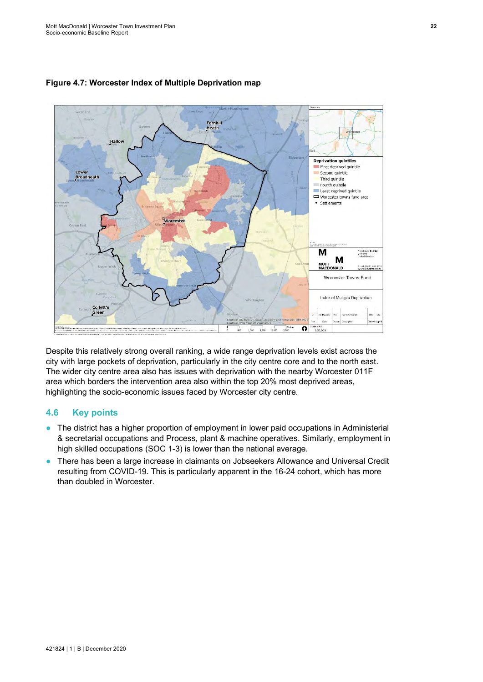

### <span id="page-28-1"></span>**Figure 4.7: Worcester Index of Multiple Deprivation map**

Despite this relatively strong overall ranking, a wide range deprivation levels exist across the city with large pockets of deprivation, particularly in the city centre core and to the north east. The wider city centre area also has issues with deprivation with the nearby Worcester 011F area which borders the intervention area also within the top 20% most deprived areas, highlighting the socio-economic issues faced by Worcester city centre.

### <span id="page-28-0"></span>**4.6 Key points**

- The district has a higher proportion of employment in lower paid occupations in Administerial & secretarial occupations and Process, plant & machine operatives. Similarly, employment in high skilled occupations (SOC 1-3) is lower than the national average.
- There has been a large increase in claimants on Jobseekers Allowance and Universal Credit resulting from COVID-19. This is particularly apparent in the 16-24 cohort, which has more than doubled in Worcester.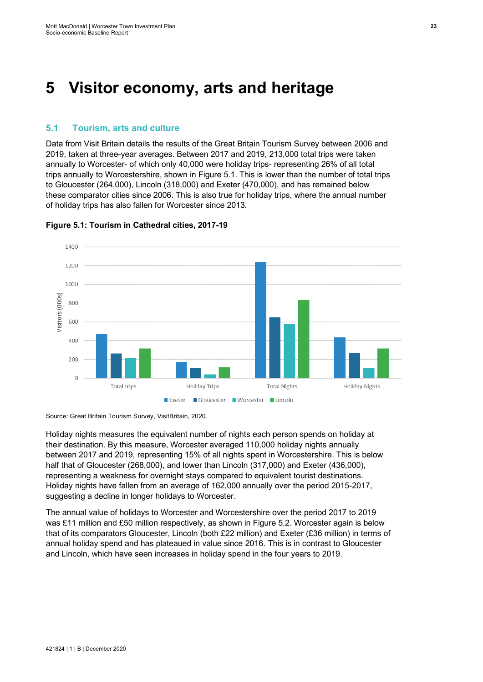# <span id="page-29-0"></span>**5 Visitor economy, arts and heritage**

### <span id="page-29-1"></span>**5.1 Tourism, arts and culture**

Data from Visit Britain details the results of the Great Britain Tourism Survey between 2006 and 2019, taken at three-year averages. Between 2017 and 2019, 213,000 total trips were taken annually to Worcester- of which only 40,000 were holiday trips- representing 26% of all total trips annually to Worcestershire, shown in [Figure](#page-29-2) 5.1. This is lower than the number of total trips to Gloucester (264,000), Lincoln (318,000) and Exeter (470,000), and has remained below these comparator cities since 2006. This is also true for holiday trips, where the annual number of holiday trips has also fallen for Worcester since 2013.



<span id="page-29-2"></span>**Figure 5.1: Tourism in Cathedral cities, 2017-19** 

Source: Great Britain Tourism Survey, VisitBritain, 2020.

Holiday nights measures the equivalent number of nights each person spends on holiday at their destination. By this measure, Worcester averaged 110,000 holiday nights annually between 2017 and 2019, representing 15% of all nights spent in Worcestershire. This is below half that of Gloucester (268,000), and lower than Lincoln (317,000) and Exeter (436,000), representing a weakness for overnight stays compared to equivalent tourist destinations. Holiday nights have fallen from an average of 162,000 annually over the period 2015-2017, suggesting a decline in longer holidays to Worcester.

The annual value of holidays to Worcester and Worcestershire over the period 2017 to 2019 was £11 million and £50 million respectively, as shown in [Figure](#page-30-1) 5.2. Worcester again is below that of its comparators Gloucester, Lincoln (both £22 million) and Exeter (£36 million) in terms of annual holiday spend and has plateaued in value since 2016. This is in contrast to Gloucester and Lincoln, which have seen increases in holiday spend in the four years to 2019.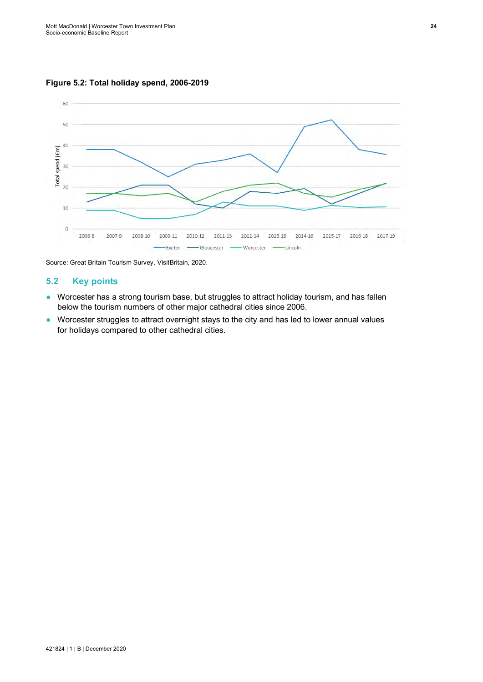<span id="page-30-1"></span>**Figure 5.2: Total holiday spend, 2006-2019**



Source: Great Britain Tourism Survey, VisitBritain, 2020.

## <span id="page-30-0"></span>**5.2 Key points**

- Worcester has a strong tourism base, but struggles to attract holiday tourism, and has fallen below the tourism numbers of other major cathedral cities since 2006.
- Worcester struggles to attract overnight stays to the city and has led to lower annual values for holidays compared to other cathedral cities.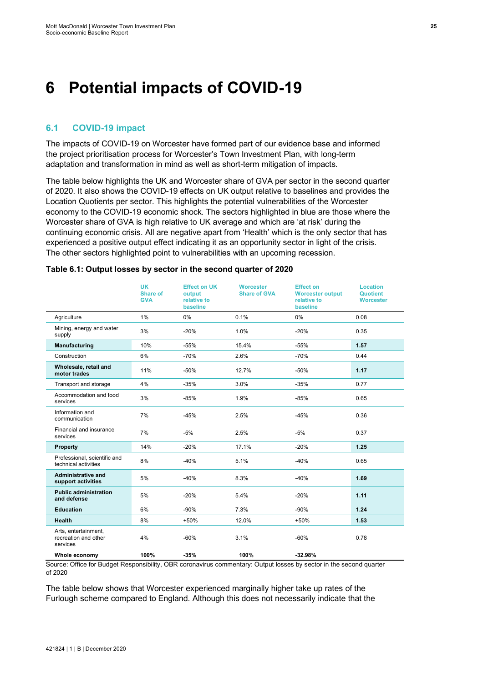# <span id="page-31-0"></span>**6 Potential impacts of COVID-19**

## <span id="page-31-1"></span>**6.1 COVID-19 impact**

The impacts of COVID-19 on Worcester have formed part of our evidence base and informed the project prioritisation process for Worcester's Town Investment Plan, with long-term adaptation and transformation in mind as well as short-term mitigation of impacts.

The table below highlights the UK and Worcester share of GVA per sector in the second quarter of 2020. It also shows the COVID-19 effects on UK output relative to baselines and provides the Location Quotients per sector. This highlights the potential vulnerabilities of the Worcester economy to the COVID-19 economic shock. The sectors highlighted in blue are those where the Worcester share of GVA is high relative to UK average and which are 'at risk' during the continuing economic crisis. All are negative apart from 'Health' which is the only sector that has experienced a positive output effect indicating it as an opportunity sector in light of the crisis. The other sectors highlighted point to vulnerabilities with an upcoming recession.

|                                                          | <b>UK</b><br><b>Share of</b><br><b>GVA</b> | <b>Effect on UK</b><br>output<br>relative to<br>baseline | <b>Worcester</b><br><b>Share of GVA</b> | <b>Effect on</b><br><b>Worcester output</b><br>relative to<br>baseline | <b>Location</b><br><b>Quotient</b><br><b>Worcester</b> |
|----------------------------------------------------------|--------------------------------------------|----------------------------------------------------------|-----------------------------------------|------------------------------------------------------------------------|--------------------------------------------------------|
| Agriculture                                              | $1\%$                                      | 0%                                                       | 0.1%                                    | 0%                                                                     | 0.08                                                   |
| Mining, energy and water<br>supply                       | 3%                                         | $-20%$                                                   | 1.0%                                    | $-20%$                                                                 | 0.35                                                   |
| Manufacturing                                            | 10%                                        | $-55%$                                                   | 15.4%                                   | $-55%$                                                                 | 1.57                                                   |
| Construction                                             | 6%                                         | $-70%$                                                   | 2.6%                                    | $-70%$                                                                 | 0.44                                                   |
| Wholesale, retail and<br>motor trades                    | 11%                                        | $-50%$                                                   | 12.7%                                   | $-50%$                                                                 | 1.17                                                   |
| Transport and storage                                    | 4%                                         | $-35%$                                                   | 3.0%                                    | $-35%$                                                                 | 0.77                                                   |
| Accommodation and food<br>services                       | 3%                                         | $-85%$                                                   | 1.9%                                    | $-85%$                                                                 | 0.65                                                   |
| Information and<br>communication                         | 7%                                         | $-45%$                                                   | 2.5%                                    | $-45%$                                                                 | 0.36                                                   |
| Financial and insurance<br>services                      | 7%                                         | $-5%$                                                    | 2.5%                                    | $-5%$                                                                  | 0.37                                                   |
| Property                                                 | 14%                                        | $-20%$                                                   | 17.1%                                   | $-20%$                                                                 | 1.25                                                   |
| Professional, scientific and<br>technical activities     | 8%                                         | $-40%$                                                   | 5.1%                                    | $-40%$                                                                 | 0.65                                                   |
| <b>Administrative and</b><br>support activities          | 5%                                         | $-40%$                                                   | 8.3%                                    | $-40%$                                                                 | 1.69                                                   |
| <b>Public administration</b><br>and defense              | 5%                                         | $-20%$                                                   | 5.4%                                    | $-20%$                                                                 | 1.11                                                   |
| <b>Education</b>                                         | 6%                                         | $-90%$                                                   | 7.3%                                    | $-90%$                                                                 | 1.24                                                   |
| <b>Health</b>                                            | 8%                                         | $+50%$                                                   | 12.0%                                   | +50%                                                                   | 1.53                                                   |
| Arts, entertainment,<br>recreation and other<br>services | 4%                                         | $-60%$                                                   | 3.1%                                    | $-60%$                                                                 | 0.78                                                   |
| Whole economy                                            | 100%                                       | $-35%$                                                   | 100%                                    | $-32.98%$                                                              |                                                        |

#### <span id="page-31-2"></span>**Table 6.1: Output losses by sector in the second quarter of 2020**

Source: Office for Budget Responsibility, OBR coronavirus commentary: Output losses by sector in the second quarter of 2020

The table below shows that Worcester experienced marginally higher take up rates of the Furlough scheme compared to England. Although this does not necessarily indicate that the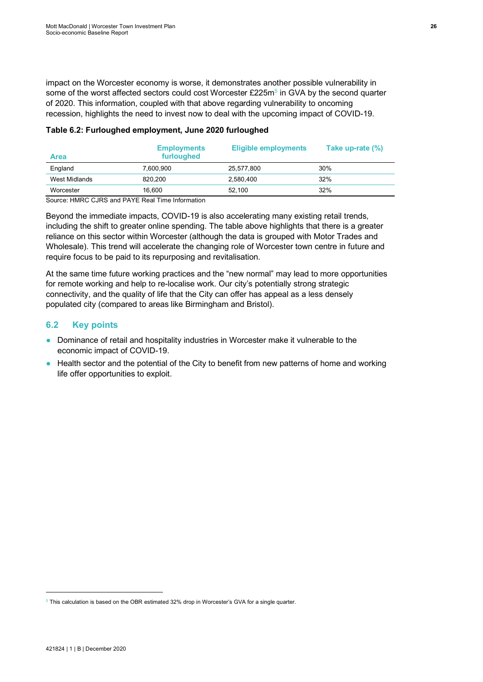impact on the Worcester economy is worse, it demonstrates another possible vulnerability in some of the worst affected sectors could cost Worcester £225m<sup>5</sup> in GVA by the second quarter of 2020. This information, coupled with that above regarding vulnerability to oncoming recession, highlights the need to invest now to deal with the upcoming impact of COVID-19.

#### <span id="page-32-1"></span>**Table 6.2: Furloughed employment, June 2020 furloughed**

| <b>Area</b>   | <b>Employments</b><br>furloughed | <b>Eligible employments</b> | Take up-rate (%) |
|---------------|----------------------------------|-----------------------------|------------------|
| England       | 7.600.900                        | 25.577.800                  | 30%              |
| West Midlands | 820.200                          | 2.580.400                   | 32%              |
| Worcester     | 16.600                           | 52.100                      | 32%              |

Source: HMRC CJRS and PAYE Real Time Information

Beyond the immediate impacts, COVID-19 is also accelerating many existing retail trends, including the shift to greater online spending. The table above highlights that there is a greater reliance on this sector within Worcester (although the data is grouped with Motor Trades and Wholesale). This trend will accelerate the changing role of Worcester town centre in future and require focus to be paid to its repurposing and revitalisation.

At the same time future working practices and the "new normal" may lead to more opportunities for remote working and help to re-localise work. Our city's potentially strong strategic connectivity, and the quality of life that the City can offer has appeal as a less densely populated city (compared to areas like Birmingham and Bristol).

## <span id="page-32-0"></span>**6.2 Key points**

- Dominance of retail and hospitality industries in Worcester make it vulnerable to the economic impact of COVID-19.
- Health sector and the potential of the City to benefit from new patterns of home and working life offer opportunities to exploit.

<sup>&</sup>lt;sup>5</sup> This calculation is based on the OBR estimated 32% drop in Worcester's GVA for a single quarter.